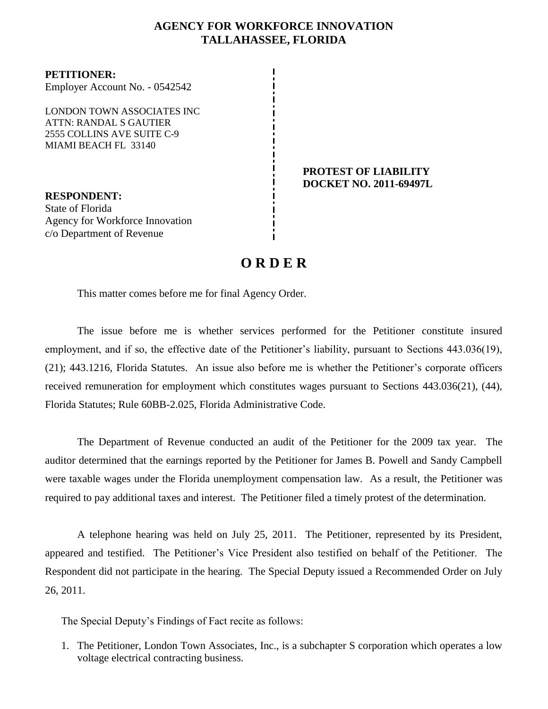### **AGENCY FOR WORKFORCE INNOVATION TALLAHASSEE, FLORIDA**

**PETITIONER:** Employer Account No. - 0542542

LONDON TOWN ASSOCIATES INC ATTN: RANDAL S GAUTIER 2555 COLLINS AVE SUITE C-9 MIAMI BEACH FL 33140

**RESPONDENT:** State of Florida Agency for Workforce Innovation c/o Department of Revenue

#### **PROTEST OF LIABILITY DOCKET NO. 2011-69497L**

# **O R D E R**

This matter comes before me for final Agency Order.

The issue before me is whether services performed for the Petitioner constitute insured employment, and if so, the effective date of the Petitioner's liability, pursuant to Sections 443.036(19), (21); 443.1216, Florida Statutes. An issue also before me is whether the Petitioner's corporate officers received remuneration for employment which constitutes wages pursuant to Sections 443.036(21), (44), Florida Statutes; Rule 60BB-2.025, Florida Administrative Code.

The Department of Revenue conducted an audit of the Petitioner for the 2009 tax year.The auditor determined that the earnings reported by the Petitioner for James B. Powell and Sandy Campbell were taxable wages under the Florida unemployment compensation law. As a result, the Petitioner was required to pay additional taxes and interest. The Petitioner filed a timely protest of the determination.

A telephone hearing was held on July 25, 2011. The Petitioner, represented by its President, appeared and testified. The Petitioner's Vice President also testified on behalf of the Petitioner. The Respondent did not participate in the hearing. The Special Deputy issued a Recommended Order on July 26, 2011.

The Special Deputy's Findings of Fact recite as follows:

1. The Petitioner, London Town Associates, Inc., is a subchapter S corporation which operates a low voltage electrical contracting business.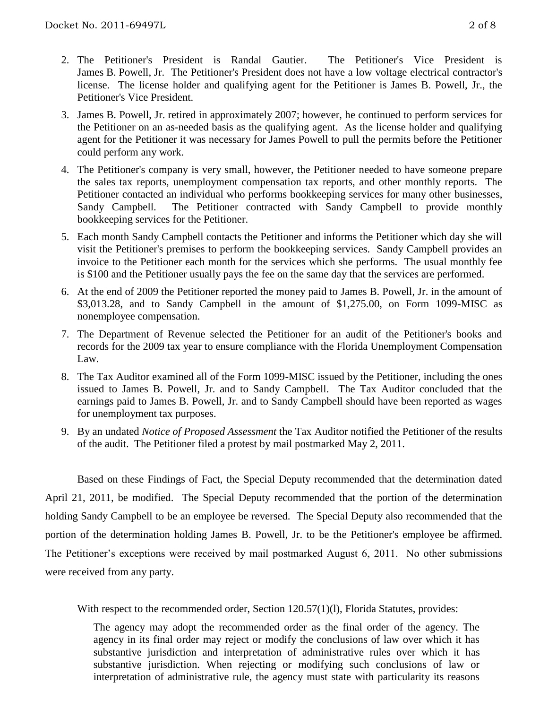- 2. The Petitioner's President is Randal Gautier. The Petitioner's Vice President is James B. Powell, Jr. The Petitioner's President does not have a low voltage electrical contractor's license. The license holder and qualifying agent for the Petitioner is James B. Powell, Jr., the Petitioner's Vice President.
- 3. James B. Powell, Jr. retired in approximately 2007; however, he continued to perform services for the Petitioner on an as-needed basis as the qualifying agent. As the license holder and qualifying agent for the Petitioner it was necessary for James Powell to pull the permits before the Petitioner could perform any work.
- 4. The Petitioner's company is very small, however, the Petitioner needed to have someone prepare the sales tax reports, unemployment compensation tax reports, and other monthly reports. The Petitioner contacted an individual who performs bookkeeping services for many other businesses, Sandy Campbell. The Petitioner contracted with Sandy Campbell to provide monthly bookkeeping services for the Petitioner.
- 5. Each month Sandy Campbell contacts the Petitioner and informs the Petitioner which day she will visit the Petitioner's premises to perform the bookkeeping services. Sandy Campbell provides an invoice to the Petitioner each month for the services which she performs. The usual monthly fee is \$100 and the Petitioner usually pays the fee on the same day that the services are performed.
- 6. At the end of 2009 the Petitioner reported the money paid to James B. Powell, Jr. in the amount of \$3,013.28, and to Sandy Campbell in the amount of \$1,275.00, on Form 1099-MISC as nonemployee compensation.
- 7. The Department of Revenue selected the Petitioner for an audit of the Petitioner's books and records for the 2009 tax year to ensure compliance with the Florida Unemployment Compensation Law.
- 8. The Tax Auditor examined all of the Form 1099-MISC issued by the Petitioner, including the ones issued to James B. Powell, Jr. and to Sandy Campbell. The Tax Auditor concluded that the earnings paid to James B. Powell, Jr. and to Sandy Campbell should have been reported as wages for unemployment tax purposes.
- 9. By an undated *Notice of Proposed Assessment* the Tax Auditor notified the Petitioner of the results of the audit. The Petitioner filed a protest by mail postmarked May 2, 2011.

Based on these Findings of Fact, the Special Deputy recommended that the determination dated April 21, 2011, be modified. The Special Deputy recommended that the portion of the determination holding Sandy Campbell to be an employee be reversed. The Special Deputy also recommended that the portion of the determination holding James B. Powell, Jr. to be the Petitioner's employee be affirmed. The Petitioner's exceptions were received by mail postmarked August 6, 2011. No other submissions were received from any party.

With respect to the recommended order, Section 120.57(1)(1), Florida Statutes, provides:

The agency may adopt the recommended order as the final order of the agency. The agency in its final order may reject or modify the conclusions of law over which it has substantive jurisdiction and interpretation of administrative rules over which it has substantive jurisdiction. When rejecting or modifying such conclusions of law or interpretation of administrative rule, the agency must state with particularity its reasons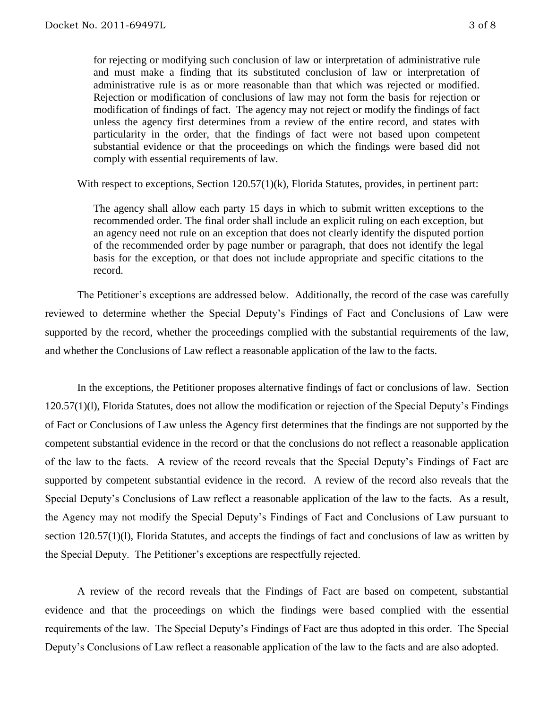for rejecting or modifying such conclusion of law or interpretation of administrative rule and must make a finding that its substituted conclusion of law or interpretation of administrative rule is as or more reasonable than that which was rejected or modified. Rejection or modification of conclusions of law may not form the basis for rejection or modification of findings of fact. The agency may not reject or modify the findings of fact unless the agency first determines from a review of the entire record, and states with particularity in the order, that the findings of fact were not based upon competent substantial evidence or that the proceedings on which the findings were based did not comply with essential requirements of law.

With respect to exceptions, Section 120.57(1)(k), Florida Statutes, provides, in pertinent part:

The agency shall allow each party 15 days in which to submit written exceptions to the recommended order. The final order shall include an explicit ruling on each exception, but an agency need not rule on an exception that does not clearly identify the disputed portion of the recommended order by page number or paragraph, that does not identify the legal basis for the exception, or that does not include appropriate and specific citations to the record.

The Petitioner's exceptions are addressed below. Additionally, the record of the case was carefully reviewed to determine whether the Special Deputy's Findings of Fact and Conclusions of Law were supported by the record, whether the proceedings complied with the substantial requirements of the law, and whether the Conclusions of Law reflect a reasonable application of the law to the facts.

In the exceptions, the Petitioner proposes alternative findings of fact or conclusions of law. Section 120.57(1)(l), Florida Statutes, does not allow the modification or rejection of the Special Deputy's Findings of Fact or Conclusions of Law unless the Agency first determines that the findings are not supported by the competent substantial evidence in the record or that the conclusions do not reflect a reasonable application of the law to the facts. A review of the record reveals that the Special Deputy's Findings of Fact are supported by competent substantial evidence in the record. A review of the record also reveals that the Special Deputy's Conclusions of Law reflect a reasonable application of the law to the facts. As a result, the Agency may not modify the Special Deputy's Findings of Fact and Conclusions of Law pursuant to section 120.57(1)(l), Florida Statutes, and accepts the findings of fact and conclusions of law as written by the Special Deputy. The Petitioner's exceptions are respectfully rejected.

A review of the record reveals that the Findings of Fact are based on competent, substantial evidence and that the proceedings on which the findings were based complied with the essential requirements of the law. The Special Deputy's Findings of Fact are thus adopted in this order. The Special Deputy's Conclusions of Law reflect a reasonable application of the law to the facts and are also adopted.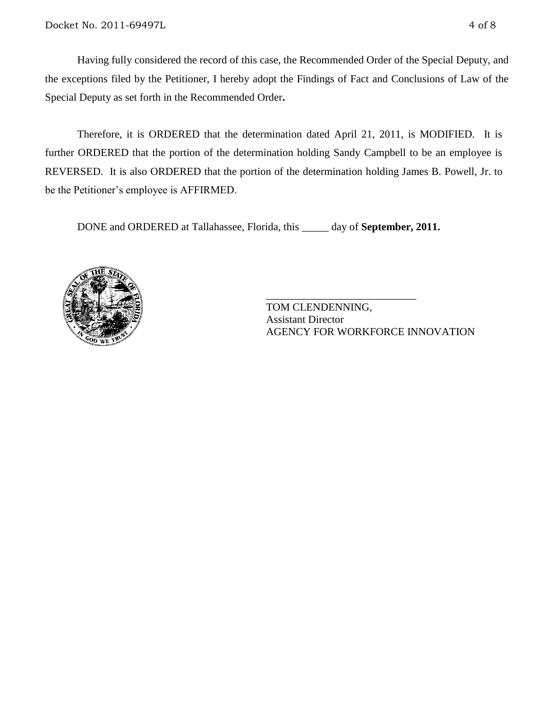Having fully considered the record of this case, the Recommended Order of the Special Deputy, and the exceptions filed by the Petitioner, I hereby adopt the Findings of Fact and Conclusions of Law of the Special Deputy as set forth in the Recommended Order**.**

Therefore, it is ORDERED that the determination dated April 21, 2011, is MODIFIED. It is further ORDERED that the portion of the determination holding Sandy Campbell to be an employee is REVERSED. It is also ORDERED that the portion of the determination holding James B. Powell, Jr. to be the Petitioner's employee is AFFIRMED.

DONE and ORDERED at Tallahassee, Florida, this \_\_\_\_\_ day of **September, 2011.**



TOM CLENDENNING, Assistant Director AGENCY FOR WORKFORCE INNOVATION

\_\_\_\_\_\_\_\_\_\_\_\_\_\_\_\_\_\_\_\_\_\_\_\_\_\_\_\_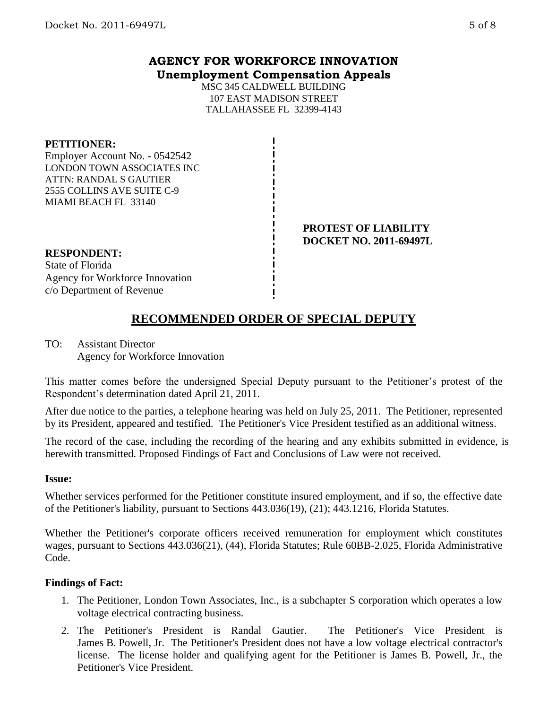MSC 345 CALDWELL BUILDING 107 EAST MADISON STREET TALLAHASSEE FL 32399-4143

#### **PETITIONER:**

Employer Account No. - 0542542 LONDON TOWN ASSOCIATES INC ATTN: RANDAL S GAUTIER 2555 COLLINS AVE SUITE C-9 MIAMI BEACH FL 33140

> **PROTEST OF LIABILITY DOCKET NO. 2011-69497L**

#### **RESPONDENT:**

State of Florida Agency for Workforce Innovation c/o Department of Revenue

## **RECOMMENDED ORDER OF SPECIAL DEPUTY**

TO: Assistant Director Agency for Workforce Innovation

This matter comes before the undersigned Special Deputy pursuant to the Petitioner's protest of the Respondent's determination dated April 21, 2011.

After due notice to the parties, a telephone hearing was held on July 25, 2011. The Petitioner, represented by its President, appeared and testified. The Petitioner's Vice President testified as an additional witness.

The record of the case, including the recording of the hearing and any exhibits submitted in evidence, is herewith transmitted. Proposed Findings of Fact and Conclusions of Law were not received.

#### **Issue:**

Whether services performed for the Petitioner constitute insured employment, and if so, the effective date of the Petitioner's liability, pursuant to Sections 443.036(19), (21); 443.1216, Florida Statutes.

Whether the Petitioner's corporate officers received remuneration for employment which constitutes wages, pursuant to Sections 443.036(21), (44), Florida Statutes; Rule 60BB-2.025, Florida Administrative Code.

#### **Findings of Fact:**

- 1. The Petitioner, London Town Associates, Inc., is a subchapter S corporation which operates a low voltage electrical contracting business.
- 2. The Petitioner's President is Randal Gautier. The Petitioner's Vice President is James B. Powell, Jr. The Petitioner's President does not have a low voltage electrical contractor's license. The license holder and qualifying agent for the Petitioner is James B. Powell, Jr., the Petitioner's Vice President.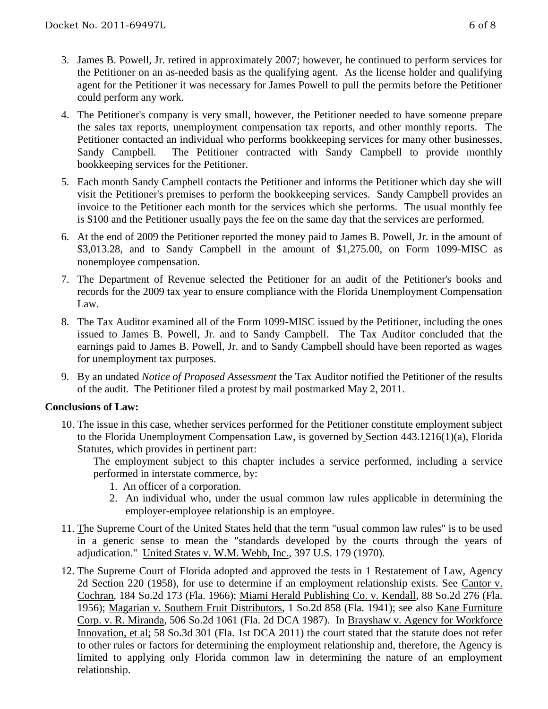- 3. James B. Powell, Jr. retired in approximately 2007; however, he continued to perform services for the Petitioner on an as-needed basis as the qualifying agent. As the license holder and qualifying agent for the Petitioner it was necessary for James Powell to pull the permits before the Petitioner could perform any work.
- 4. The Petitioner's company is very small, however, the Petitioner needed to have someone prepare the sales tax reports, unemployment compensation tax reports, and other monthly reports. The Petitioner contacted an individual who performs bookkeeping services for many other businesses, Sandy Campbell. The Petitioner contracted with Sandy Campbell to provide monthly bookkeeping services for the Petitioner.
- 5. Each month Sandy Campbell contacts the Petitioner and informs the Petitioner which day she will visit the Petitioner's premises to perform the bookkeeping services. Sandy Campbell provides an invoice to the Petitioner each month for the services which she performs. The usual monthly fee is \$100 and the Petitioner usually pays the fee on the same day that the services are performed.
- 6. At the end of 2009 the Petitioner reported the money paid to James B. Powell, Jr. in the amount of \$3,013.28, and to Sandy Campbell in the amount of \$1,275.00, on Form 1099-MISC as nonemployee compensation.
- 7. The Department of Revenue selected the Petitioner for an audit of the Petitioner's books and records for the 2009 tax year to ensure compliance with the Florida Unemployment Compensation Law.
- 8. The Tax Auditor examined all of the Form 1099-MISC issued by the Petitioner, including the ones issued to James B. Powell, Jr. and to Sandy Campbell. The Tax Auditor concluded that the earnings paid to James B. Powell, Jr. and to Sandy Campbell should have been reported as wages for unemployment tax purposes.
- 9. By an undated *Notice of Proposed Assessment* the Tax Auditor notified the Petitioner of the results of the audit. The Petitioner filed a protest by mail postmarked May 2, 2011.

#### **Conclusions of Law:**

10. The issue in this case, whether services performed for the Petitioner constitute employment subject to the Florida Unemployment Compensation Law, is governed by Section 443.1216(1)(a), Florida Statutes, which provides in pertinent part:

The employment subject to this chapter includes a service performed, including a service performed in interstate commerce, by:

- 1. An officer of a corporation.
- 2. An individual who, under the usual common law rules applicable in determining the employer-employee relationship is an employee.
- 11. The Supreme Court of the United States held that the term "usual common law rules" is to be used in a generic sense to mean the "standards developed by the courts through the years of adjudication." United States v. W.M. Webb, Inc., 397 U.S. 179 (1970).
- 12. The Supreme Court of Florida adopted and approved the tests in 1 Restatement of Law, Agency 2d Section 220 (1958), for use to determine if an employment relationship exists. See Cantor v. Cochran, 184 So.2d 173 (Fla. 1966); Miami Herald Publishing Co. v. Kendall, 88 So.2d 276 (Fla. 1956); Magarian v. Southern Fruit Distributors, 1 So.2d 858 (Fla. 1941); see also Kane Furniture Corp. v. R. Miranda, 506 So.2d 1061 (Fla. 2d DCA 1987). In Brayshaw v. Agency for Workforce Innovation, et al; 58 So.3d 301 (Fla. 1st DCA 2011) the court stated that the statute does not refer to other rules or factors for determining the employment relationship and, therefore, the Agency is limited to applying only Florida common law in determining the nature of an employment relationship.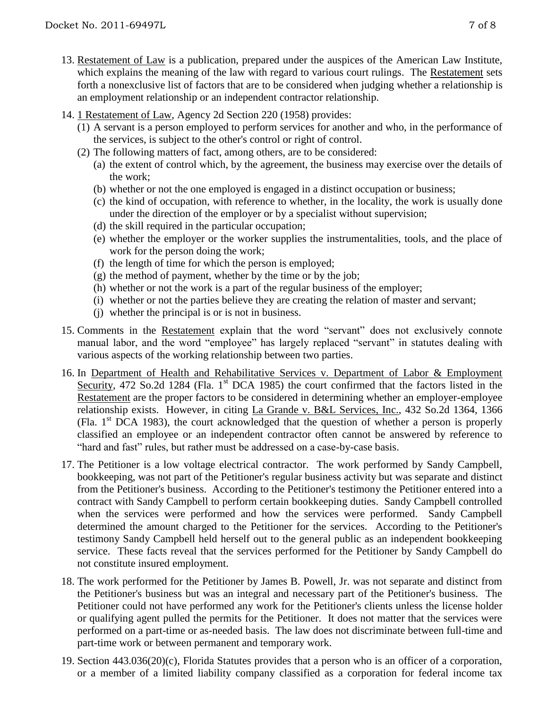- 13. Restatement of Law is a publication, prepared under the auspices of the American Law Institute, which explains the meaning of the law with regard to various court rulings. The Restatement sets forth a nonexclusive list of factors that are to be considered when judging whether a relationship is an employment relationship or an independent contractor relationship.
- 14. 1 Restatement of Law, Agency 2d Section 220 (1958) provides:
	- (1) A servant is a person employed to perform services for another and who, in the performance of the services, is subject to the other's control or right of control.
	- (2) The following matters of fact, among others, are to be considered:
		- (a) the extent of control which, by the agreement, the business may exercise over the details of the work;
		- (b) whether or not the one employed is engaged in a distinct occupation or business;
		- (c) the kind of occupation, with reference to whether, in the locality, the work is usually done under the direction of the employer or by a specialist without supervision;
		- (d) the skill required in the particular occupation;
		- (e) whether the employer or the worker supplies the instrumentalities, tools, and the place of work for the person doing the work;
		- (f) the length of time for which the person is employed;
		- (g) the method of payment, whether by the time or by the job;
		- (h) whether or not the work is a part of the regular business of the employer;
		- (i) whether or not the parties believe they are creating the relation of master and servant;
		- (j) whether the principal is or is not in business.
- 15. Comments in the Restatement explain that the word "servant" does not exclusively connote manual labor, and the word "employee" has largely replaced "servant" in statutes dealing with various aspects of the working relationship between two parties.
- 16. In Department of Health and Rehabilitative Services v. Department of Labor & Employment Security, 472 So.2d 1284 (Fla. 1<sup>st</sup> DCA 1985) the court confirmed that the factors listed in the Restatement are the proper factors to be considered in determining whether an employer-employee relationship exists. However, in citing La Grande v. B&L Services, Inc., 432 So.2d 1364, 1366 (Fla. 1st DCA 1983), the court acknowledged that the question of whether a person is properly classified an employee or an independent contractor often cannot be answered by reference to "hard and fast" rules, but rather must be addressed on a case-by-case basis.
- 17. The Petitioner is a low voltage electrical contractor. The work performed by Sandy Campbell, bookkeeping, was not part of the Petitioner's regular business activity but was separate and distinct from the Petitioner's business. According to the Petitioner's testimony the Petitioner entered into a contract with Sandy Campbell to perform certain bookkeeping duties. Sandy Campbell controlled when the services were performed and how the services were performed. Sandy Campbell determined the amount charged to the Petitioner for the services. According to the Petitioner's testimony Sandy Campbell held herself out to the general public as an independent bookkeeping service. These facts reveal that the services performed for the Petitioner by Sandy Campbell do not constitute insured employment.
- 18. The work performed for the Petitioner by James B. Powell, Jr. was not separate and distinct from the Petitioner's business but was an integral and necessary part of the Petitioner's business. The Petitioner could not have performed any work for the Petitioner's clients unless the license holder or qualifying agent pulled the permits for the Petitioner. It does not matter that the services were performed on a part-time or as-needed basis. The law does not discriminate between full-time and part-time work or between permanent and temporary work.
- 19. Section 443.036(20)(c), Florida Statutes provides that a person who is an officer of a corporation, or a member of a limited liability company classified as a corporation for federal income tax